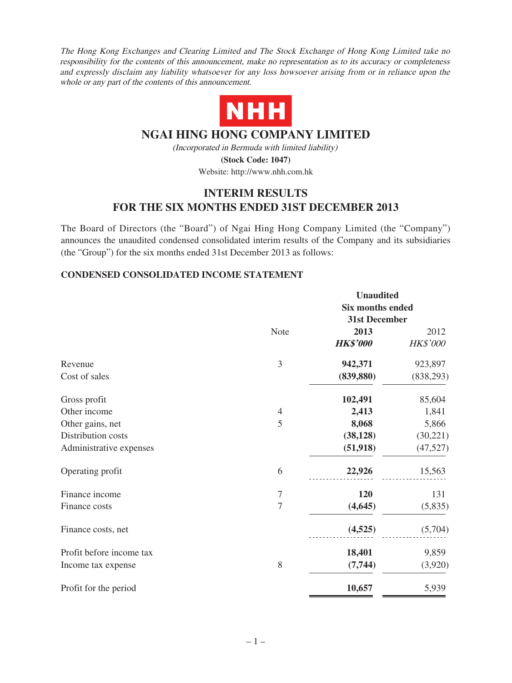The Hong Kong Exchanges and Clearing Limited and The Stock Exchange of Hong Kong Limited take no responsibility for the contents of this announcement, make no representation as to its accuracy or completeness and expressly disclaim any liability whatsoever for any loss howsoever arising from or in reliance upon the whole or any part of the contents of this announcement.



# **NGAI HING HONG COMPANY LIMITED**

(Incorporated in Bermuda with limited liability) **(Stock Code: 1047)**

Website: http://www.nhh.com.hk

# **INTERIM RESULTS FOR THE SIX MONTHS ENDED 31ST DECEMBER 2013**

The Board of Directors (the "Board") of Ngai Hing Hong Company Limited (the "Company") announces the unaudited condensed consolidated interim results of the Company and its subsidiaries (the "Group") for the six months ended 31st December 2013 as follows:

### **CONDENSED CONSOLIDATED INCOME STATEMENT**

|                          |                | <b>Unaudited</b>        |            |  |
|--------------------------|----------------|-------------------------|------------|--|
|                          |                | <b>Six months ended</b> |            |  |
|                          |                | 31st December           |            |  |
|                          | Note           | 2013                    | 2012       |  |
|                          |                | <b>HK\$'000</b>         | HK\$'000   |  |
| Revenue                  | 3              | 942,371                 | 923,897    |  |
| Cost of sales            |                | (839, 880)              | (838, 293) |  |
| Gross profit             |                | 102,491                 | 85,604     |  |
| Other income             | 4              | 2,413                   | 1,841      |  |
| Other gains, net         | 5              | 8,068                   | 5,866      |  |
| Distribution costs       |                | (38, 128)               | (30,221)   |  |
| Administrative expenses  |                | (51, 918)               | (47,527)   |  |
| Operating profit         | 6              | 22,926                  | 15,563     |  |
| Finance income           | 7              | 120                     | 131        |  |
| Finance costs            | $\overline{7}$ | (4, 645)                | (5,835)    |  |
| Finance costs, net       |                | (4,525)                 | (5,704)    |  |
| Profit before income tax |                | 18,401                  | 9,859      |  |
| Income tax expense       | 8              | (7, 744)                | (3,920)    |  |
| Profit for the period    |                | 10,657                  | 5,939      |  |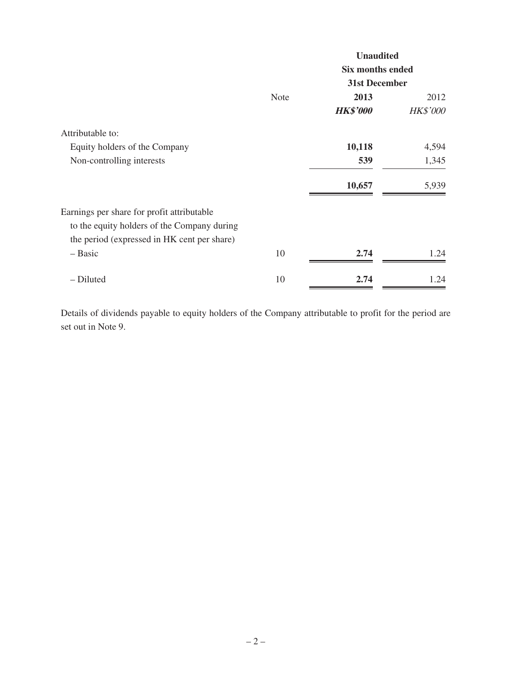|                                                                                                                                          |      | <b>Unaudited</b>                         |                 |  |  |
|------------------------------------------------------------------------------------------------------------------------------------------|------|------------------------------------------|-----------------|--|--|
|                                                                                                                                          |      | <b>Six months ended</b><br>31st December |                 |  |  |
|                                                                                                                                          |      |                                          |                 |  |  |
|                                                                                                                                          | Note | 2013                                     | 2012            |  |  |
|                                                                                                                                          |      | <b>HK\$'000</b>                          | <b>HK\$'000</b> |  |  |
| Attributable to:                                                                                                                         |      |                                          |                 |  |  |
| Equity holders of the Company                                                                                                            |      | 10,118                                   | 4,594           |  |  |
| Non-controlling interests                                                                                                                |      | 539                                      | 1,345           |  |  |
|                                                                                                                                          |      | 10,657                                   | 5,939           |  |  |
| Earnings per share for profit attributable<br>to the equity holders of the Company during<br>the period (expressed in HK cent per share) |      |                                          |                 |  |  |
| - Basic                                                                                                                                  | 10   | 2.74                                     | 1.24            |  |  |
| - Diluted                                                                                                                                | 10   | 2.74                                     | 1.24            |  |  |

Details of dividends payable to equity holders of the Company attributable to profit for the period are set out in Note 9.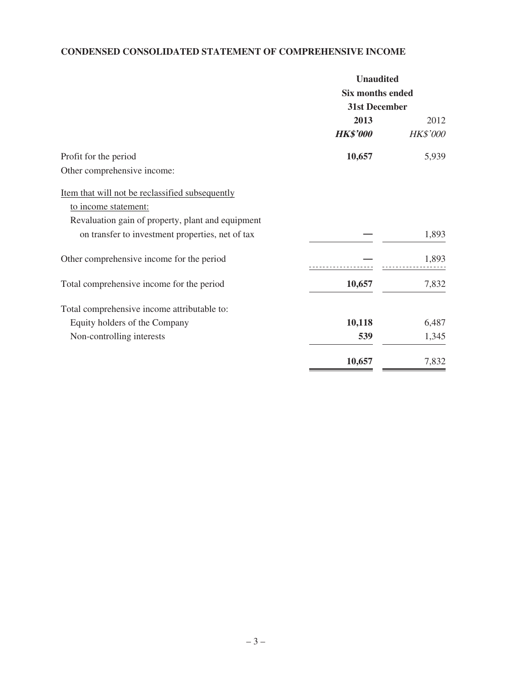# **CONDENSED CONSOLIDATED STATEMENT OF COMPREHENSIVE INCOME**

|                                                   | <b>Unaudited</b><br>Six months ended<br>31st December |          |  |
|---------------------------------------------------|-------------------------------------------------------|----------|--|
|                                                   |                                                       |          |  |
|                                                   |                                                       |          |  |
|                                                   | 2013                                                  | 2012     |  |
|                                                   | <b>HK\$'000</b>                                       | HK\$'000 |  |
| Profit for the period                             | 10,657                                                | 5,939    |  |
| Other comprehensive income:                       |                                                       |          |  |
| Item that will not be reclassified subsequently   |                                                       |          |  |
| to income statement:                              |                                                       |          |  |
| Revaluation gain of property, plant and equipment |                                                       |          |  |
| on transfer to investment properties, net of tax  |                                                       | 1,893    |  |
| Other comprehensive income for the period         |                                                       | 1,893    |  |
| Total comprehensive income for the period         | 10,657                                                | 7,832    |  |
| Total comprehensive income attributable to:       |                                                       |          |  |
| Equity holders of the Company                     | 10,118                                                | 6,487    |  |
| Non-controlling interests                         | 539                                                   | 1,345    |  |
|                                                   | 10,657                                                | 7,832    |  |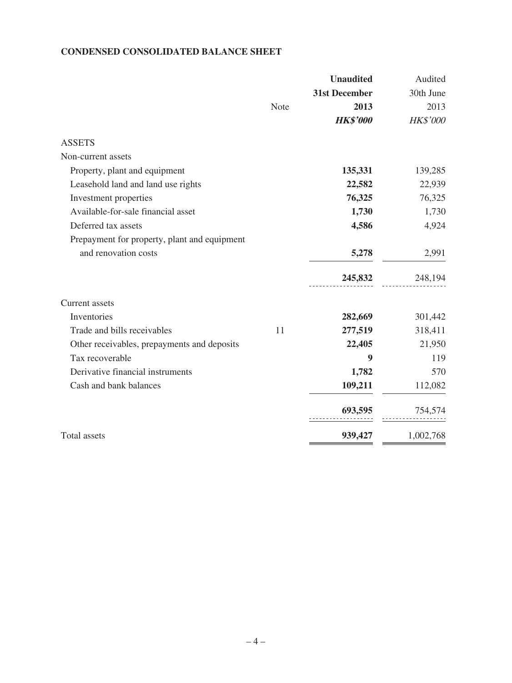## **CONDENSED CONSOLIDATED BALANCE SHEET**

|                                              |      | <b>Unaudited</b>     | Audited   |
|----------------------------------------------|------|----------------------|-----------|
|                                              |      | <b>31st December</b> | 30th June |
|                                              | Note | 2013                 | 2013      |
|                                              |      | <b>HK\$'000</b>      | HK\$'000  |
| <b>ASSETS</b>                                |      |                      |           |
| Non-current assets                           |      |                      |           |
| Property, plant and equipment                |      | 135,331              | 139,285   |
| Leasehold land and land use rights           |      | 22,582               | 22,939    |
| Investment properties                        |      | 76,325               | 76,325    |
| Available-for-sale financial asset           |      | 1,730                | 1,730     |
| Deferred tax assets                          |      | 4,586                | 4,924     |
| Prepayment for property, plant and equipment |      |                      |           |
| and renovation costs                         |      | 5,278                | 2,991     |
|                                              |      | 245,832              | 248,194   |
| Current assets                               |      |                      |           |
| Inventories                                  |      | 282,669              | 301,442   |
| Trade and bills receivables                  | 11   | 277,519              | 318,411   |
| Other receivables, prepayments and deposits  |      | 22,405               | 21,950    |
| Tax recoverable                              |      | 9                    | 119       |
| Derivative financial instruments             |      | 1,782                | 570       |
| Cash and bank balances                       |      | 109,211              | 112,082   |
|                                              |      | 693,595              | 754,574   |
| <b>Total assets</b>                          |      | 939,427              | 1,002,768 |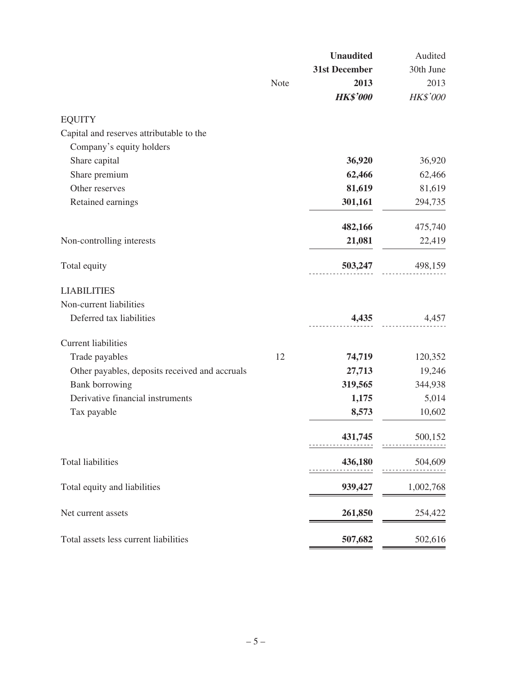|                                                |      | <b>Unaudited</b> | Audited   |
|------------------------------------------------|------|------------------|-----------|
|                                                |      | 31st December    | 30th June |
|                                                | Note | 2013             | 2013      |
|                                                |      | <b>HK\$'000</b>  | HK\$'000  |
| <b>EQUITY</b>                                  |      |                  |           |
| Capital and reserves attributable to the       |      |                  |           |
| Company's equity holders                       |      |                  |           |
| Share capital                                  |      | 36,920           | 36,920    |
| Share premium                                  |      | 62,466           | 62,466    |
| Other reserves                                 |      | 81,619           | 81,619    |
| Retained earnings                              |      | 301,161          | 294,735   |
|                                                |      | 482,166          | 475,740   |
| Non-controlling interests                      |      | 21,081           | 22,419    |
| Total equity                                   |      | 503,247          | 498,159   |
| <b>LIABILITIES</b>                             |      |                  |           |
| Non-current liabilities                        |      |                  |           |
| Deferred tax liabilities                       |      | 4,435            | 4,457     |
| <b>Current liabilities</b>                     |      |                  |           |
| Trade payables                                 | 12   | 74,719           | 120,352   |
| Other payables, deposits received and accruals |      | 27,713           | 19,246    |
| Bank borrowing                                 |      | 319,565          | 344,938   |
| Derivative financial instruments               |      | 1,175            | 5,014     |
| Tax payable                                    |      | 8,573            | 10,602    |
|                                                |      | 431,745          | 500,152   |
| <b>Total liabilities</b>                       |      | 436,180          | 504,609   |
| Total equity and liabilities                   |      | 939,427          | 1,002,768 |
| Net current assets                             |      | 261,850          | 254,422   |
| Total assets less current liabilities          |      | 507,682          | 502,616   |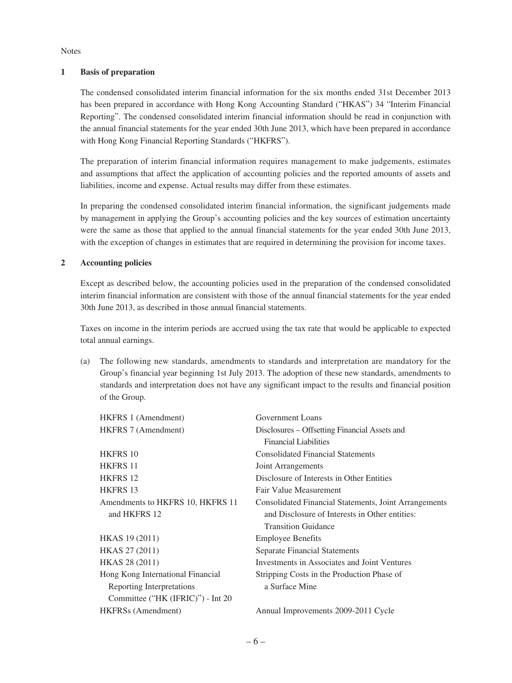**Notes** 

### **1 Basis of preparation**

The condensed consolidated interim financial information for the six months ended 31st December 2013 has been prepared in accordance with Hong Kong Accounting Standard ("HKAS") 34 "Interim Financial Reporting". The condensed consolidated interim financial information should be read in conjunction with the annual financial statements for the year ended 30th June 2013, which have been prepared in accordance with Hong Kong Financial Reporting Standards ("HKFRS").

The preparation of interim financial information requires management to make judgements, estimates and assumptions that affect the application of accounting policies and the reported amounts of assets and liabilities, income and expense. Actual results may differ from these estimates.

In preparing the condensed consolidated interim financial information, the significant judgements made by management in applying the Group's accounting policies and the key sources of estimation uncertainty were the same as those that applied to the annual financial statements for the year ended 30th June 2013, with the exception of changes in estimates that are required in determining the provision for income taxes.

### **2 Accounting policies**

Except as described below, the accounting policies used in the preparation of the condensed consolidated interim financial information are consistent with those of the annual financial statements for the year ended 30th June 2013, as described in those annual financial statements.

Taxes on income in the interim periods are accrued using the tax rate that would be applicable to expected total annual earnings.

(a) The following new standards, amendments to standards and interpretation are mandatory for the Group's financial year beginning 1st July 2013. The adoption of these new standards, amendments to standards and interpretation does not have any significant impact to the results and financial position of the Group.

| HKFRS 1 (Amendment)               | Government Loans                                      |
|-----------------------------------|-------------------------------------------------------|
| HKFRS 7 (Amendment)               | Disclosures – Offsetting Financial Assets and         |
|                                   | <b>Financial Liabilities</b>                          |
| HKFRS 10                          | <b>Consolidated Financial Statements</b>              |
| <b>HKFRS 11</b>                   | Joint Arrangements                                    |
| <b>HKFRS 12</b>                   | Disclosure of Interests in Other Entities             |
| <b>HKFRS 13</b>                   | Fair Value Measurement                                |
| Amendments to HKFRS 10, HKFRS 11  | Consolidated Financial Statements, Joint Arrangements |
| and HKFRS 12                      | and Disclosure of Interests in Other entities:        |
|                                   | <b>Transition Guidance</b>                            |
| <b>HKAS</b> 19 (2011)             | <b>Employee Benefits</b>                              |
| HKAS 27 (2011)                    | <b>Separate Financial Statements</b>                  |
| <b>HKAS 28 (2011)</b>             | Investments in Associates and Joint Ventures          |
| Hong Kong International Financial | Stripping Costs in the Production Phase of            |
| Reporting Interpretations         | a Surface Mine                                        |
| Committee ("HK (IFRIC)") - Int 20 |                                                       |
| <b>HKFRSs</b> (Amendment)         | Annual Improvements 2009-2011 Cycle                   |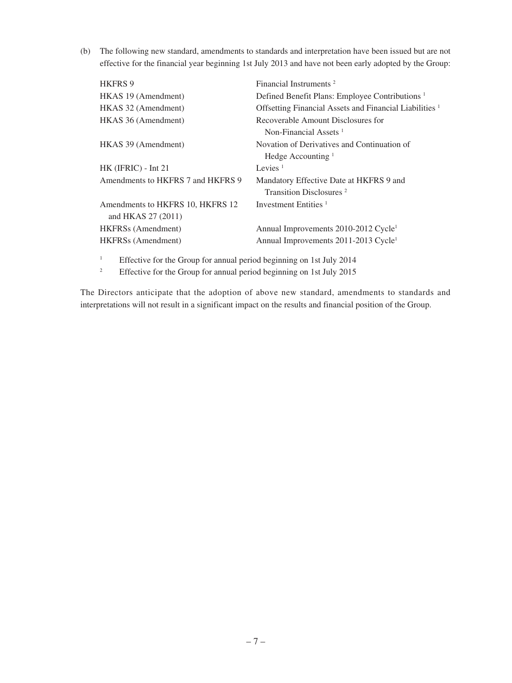(b) The following new standard, amendments to standards and interpretation have been issued but are not effective for the financial year beginning 1st July 2013 and have not been early adopted by the Group:

| <b>HKFRS 9</b>                                                             | Financial Instruments <sup>2</sup>                                 |
|----------------------------------------------------------------------------|--------------------------------------------------------------------|
| HKAS 19 (Amendment)                                                        | Defined Benefit Plans: Employee Contributions <sup>1</sup>         |
| HKAS 32 (Amendment)                                                        | Offsetting Financial Assets and Financial Liabilities <sup>1</sup> |
| HKAS 36 (Amendment)                                                        | Recoverable Amount Disclosures for                                 |
|                                                                            | Non-Financial Assets $1$                                           |
| HKAS 39 (Amendment)                                                        | Novation of Derivatives and Continuation of                        |
|                                                                            | Hedge Accounting $1$                                               |
| HK (IFRIC) - Int 21                                                        | Levies <sup>1</sup>                                                |
| Amendments to HKFRS 7 and HKFRS 9                                          | Mandatory Effective Date at HKFRS 9 and                            |
|                                                                            | Transition Disclosures <sup>2</sup>                                |
| Amendments to HKFRS 10, HKFRS 12                                           | Investment Entities <sup>1</sup>                                   |
| and HKAS 27 (2011)                                                         |                                                                    |
| <b>HKFRSs</b> (Amendment)                                                  | Annual Improvements 2010-2012 Cycle <sup>1</sup>                   |
| HKFRSs (Amendment)                                                         | Annual Improvements 2011-2013 Cycle <sup>1</sup>                   |
| -1<br>Effective for the Group for annual period beginning on 1st July 2014 |                                                                    |

<sup>2</sup> Effective for the Group for annual period beginning on 1st July 2015

The Directors anticipate that the adoption of above new standard, amendments to standards and interpretations will not result in a significant impact on the results and financial position of the Group.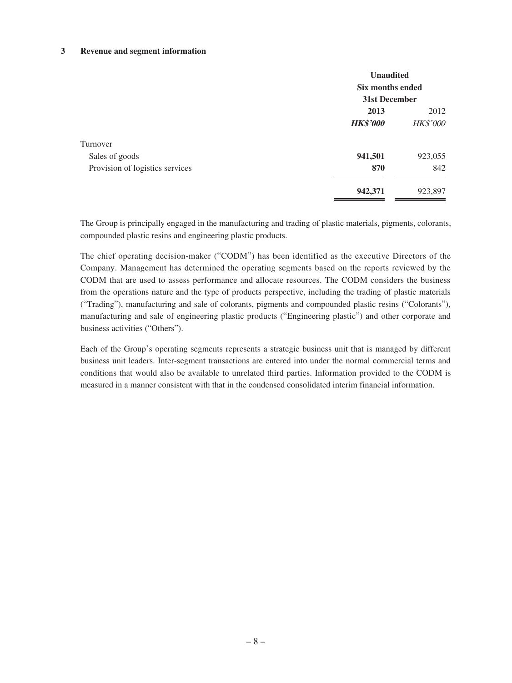#### **3 Revenue and segment information**

|                                 | <b>Unaudited</b><br>Six months ended<br>31st December |                 |  |
|---------------------------------|-------------------------------------------------------|-----------------|--|
|                                 |                                                       |                 |  |
|                                 | 2013                                                  | 2012            |  |
|                                 | <b>HK\$'000</b>                                       | <b>HK\$'000</b> |  |
| Turnover                        |                                                       |                 |  |
| Sales of goods                  | 941,501                                               | 923,055         |  |
| Provision of logistics services | 870                                                   | 842             |  |
|                                 | 942,371                                               | 923,897         |  |

The Group is principally engaged in the manufacturing and trading of plastic materials, pigments, colorants, compounded plastic resins and engineering plastic products.

The chief operating decision-maker ("CODM") has been identified as the executive Directors of the Company. Management has determined the operating segments based on the reports reviewed by the CODM that are used to assess performance and allocate resources. The CODM considers the business from the operations nature and the type of products perspective, including the trading of plastic materials ("Trading"), manufacturing and sale of colorants, pigments and compounded plastic resins ("Colorants"), manufacturing and sale of engineering plastic products ("Engineering plastic") and other corporate and business activities ("Others").

Each of the Group's operating segments represents a strategic business unit that is managed by different business unit leaders. Inter-segment transactions are entered into under the normal commercial terms and conditions that would also be available to unrelated third parties. Information provided to the CODM is measured in a manner consistent with that in the condensed consolidated interim financial information.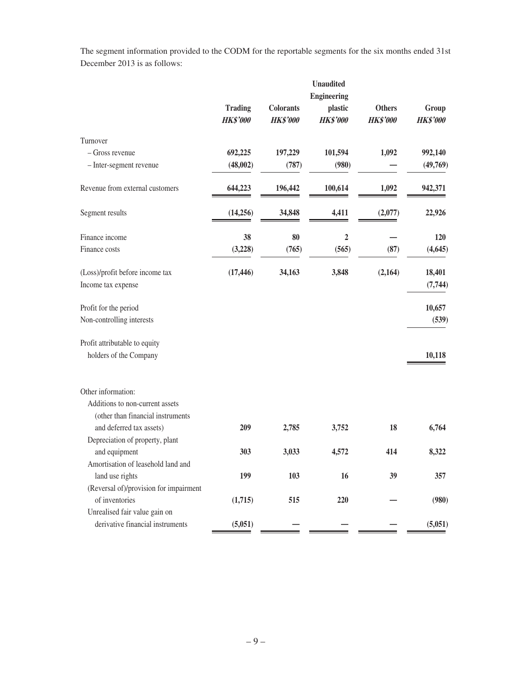The segment information provided to the CODM for the reportable segments for the six months ended 31st December 2013 is as follows:

|                                        |                 |                  | <b>Unaudited</b>        |                 |                 |
|----------------------------------------|-----------------|------------------|-------------------------|-----------------|-----------------|
|                                        |                 |                  | <b>Engineering</b>      |                 |                 |
|                                        | <b>Trading</b>  | <b>Colorants</b> | plastic                 | <b>Others</b>   | Group           |
|                                        | <b>HK\$'000</b> | <b>HK\$'000</b>  | <b>HK\$'000</b>         | <b>HK\$'000</b> | <b>HK\$'000</b> |
| Turnover                               |                 |                  |                         |                 |                 |
| - Gross revenue                        | 692,225         | 197,229          | 101,594                 | 1,092           | 992,140         |
| - Inter-segment revenue                | (48,002)        | (787)            | (980)                   |                 | (49,769)        |
| Revenue from external customers        | 644,223         | 196,442          | 100,614                 | 1,092           | 942,371         |
| Segment results                        | (14,256)        | 34,848           | 4,411                   | (2,077)         | 22,926          |
| Finance income                         | 38              | 80               | $\overline{\mathbf{2}}$ |                 | 120             |
| Finance costs                          | (3,228)         | (765)            | (565)                   | (87)            | (4, 645)        |
| (Loss)/profit before income tax        | (17, 446)       | 34,163           | 3,848                   | (2,164)         | 18,401          |
| Income tax expense                     |                 |                  |                         |                 | (7,744)         |
| Profit for the period                  |                 |                  |                         |                 | 10,657          |
| Non-controlling interests              |                 |                  |                         |                 | (539)           |
| Profit attributable to equity          |                 |                  |                         |                 |                 |
| holders of the Company                 |                 |                  |                         |                 | 10,118          |
| Other information:                     |                 |                  |                         |                 |                 |
| Additions to non-current assets        |                 |                  |                         |                 |                 |
| (other than financial instruments      |                 |                  |                         |                 |                 |
| and deferred tax assets)               | 209             | 2,785            | 3,752                   | 18              | 6,764           |
| Depreciation of property, plant        |                 |                  |                         |                 |                 |
| and equipment                          | 303             | 3,033            | 4,572                   | 414             | 8,322           |
| Amortisation of leasehold land and     |                 |                  |                         |                 |                 |
| land use rights                        | 199             | 103              | 16                      | 39              | 357             |
| (Reversal of)/provision for impairment |                 |                  |                         |                 |                 |
| of inventories                         | (1,715)         | 515              | 220                     |                 | (980)           |
| Unrealised fair value gain on          |                 |                  |                         |                 |                 |
| derivative financial instruments       | (5,051)         |                  |                         |                 | (5,051)         |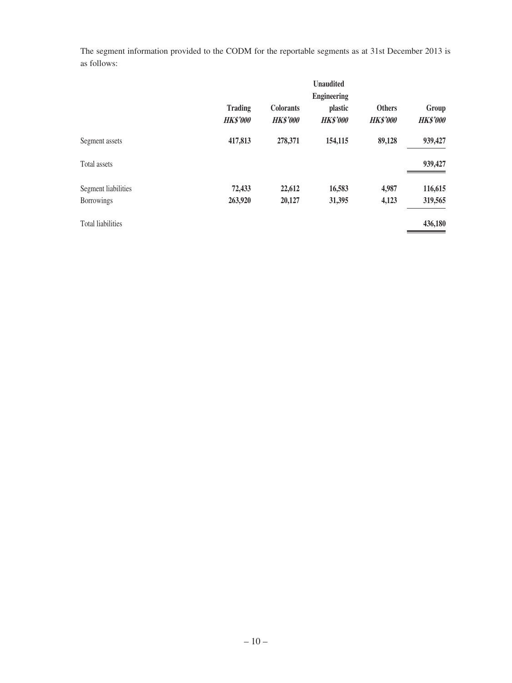The segment information provided to the CODM for the reportable segments as at 31st December 2013 is as follows:

|                          |                                   |                                     | <b>Unaudited</b>           |                                  |                          |
|--------------------------|-----------------------------------|-------------------------------------|----------------------------|----------------------------------|--------------------------|
|                          | <b>Engineering</b>                |                                     |                            |                                  |                          |
|                          | <b>Trading</b><br><b>HK\$'000</b> | <b>Colorants</b><br><b>HK\$'000</b> | plastic<br><b>HK\$'000</b> | <b>Others</b><br><b>HK\$'000</b> | Group<br><b>HK\$'000</b> |
| Segment assets           | 417,813                           | 278,371                             | 154,115                    | 89,128                           | 939,427                  |
| Total assets             |                                   |                                     |                            |                                  | 939,427                  |
| Segment liabilities      | 72,433                            | 22,612                              | 16,583                     | 4,987                            | 116,615                  |
| <b>Borrowings</b>        | 263,920                           | 20,127                              | 31,395                     | 4,123                            | 319,565                  |
| <b>Total liabilities</b> |                                   |                                     |                            |                                  | 436,180                  |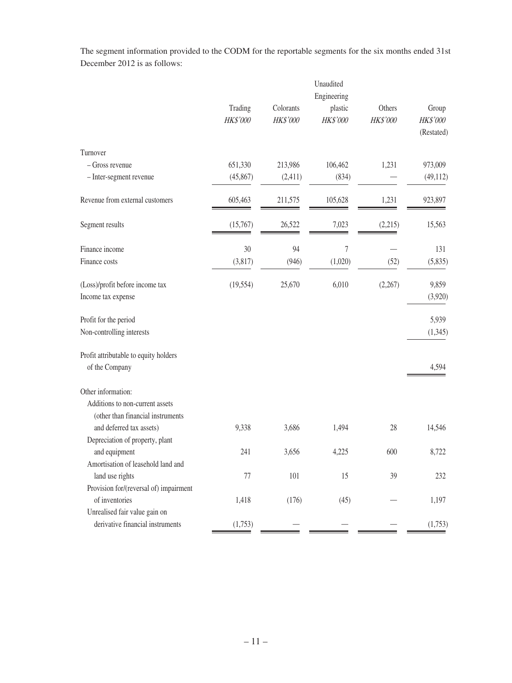The segment information provided to the CODM for the reportable segments for the six months ended 31st December 2012 is as follows:

|                                                                      | Unaudited<br>Engineering |                       |                     |                    |                                        |
|----------------------------------------------------------------------|--------------------------|-----------------------|---------------------|--------------------|----------------------------------------|
|                                                                      | Trading<br>HK\$'000      | Colorants<br>HK\$'000 | plastic<br>HK\$'000 | Others<br>HK\$'000 | Group<br><b>HK\$'000</b><br>(Restated) |
| Turnover                                                             |                          |                       |                     |                    |                                        |
| - Gross revenue                                                      | 651,330                  | 213,986               | 106,462             | 1,231              | 973,009                                |
| - Inter-segment revenue                                              | (45, 867)                | (2, 411)              | (834)               |                    | (49, 112)                              |
| Revenue from external customers                                      | 605,463                  | 211,575               | 105,628             | 1,231              | 923,897                                |
| Segment results                                                      | (15,767)                 | 26,522                | 7,023               | (2,215)            | 15,563                                 |
| Finance income                                                       | 30                       | 94                    | 7                   |                    | 131                                    |
| Finance costs                                                        | (3,817)                  | (946)                 | (1,020)             | (52)               | (5,835)                                |
| (Loss)/profit before income tax                                      | (19, 554)                | 25,670                | 6,010               | (2,267)            | 9,859                                  |
| Income tax expense                                                   |                          |                       |                     |                    | (3,920)                                |
| Profit for the period                                                |                          |                       |                     |                    | 5,939                                  |
| Non-controlling interests                                            |                          |                       |                     |                    | (1,345)                                |
| Profit attributable to equity holders                                |                          |                       |                     |                    |                                        |
| of the Company                                                       |                          |                       |                     |                    | 4,594                                  |
| Other information:                                                   |                          |                       |                     |                    |                                        |
| Additions to non-current assets<br>(other than financial instruments |                          |                       |                     |                    |                                        |
| and deferred tax assets)                                             | 9,338                    | 3,686                 | 1,494               | 28                 | 14,546                                 |
| Depreciation of property, plant                                      |                          |                       |                     |                    |                                        |
| and equipment                                                        | 241                      | 3,656                 | 4,225               | 600                | 8,722                                  |
| Amortisation of leasehold land and                                   |                          |                       |                     |                    |                                        |
| land use rights                                                      | 77                       | 101                   | 15                  | 39                 | 232                                    |
| Provision for/(reversal of) impairment                               |                          |                       |                     |                    |                                        |
| of inventories                                                       | 1,418                    | (176)                 | (45)                |                    | 1,197                                  |
| Unrealised fair value gain on                                        |                          |                       |                     |                    |                                        |
| derivative financial instruments                                     | (1,753)                  |                       |                     |                    | (1,753)                                |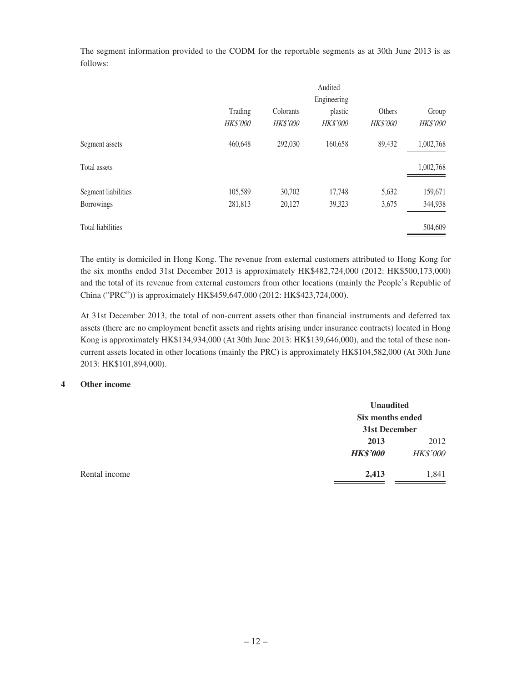The segment information provided to the CODM for the reportable segments as at 30th June 2013 is as follows:

|                     |                     |                              | Audited             |                           |                   |
|---------------------|---------------------|------------------------------|---------------------|---------------------------|-------------------|
|                     |                     |                              | Engineering         |                           |                   |
|                     | Trading<br>HK\$'000 | Colorants<br><b>HK\$'000</b> | plastic<br>HK\$'000 | Others<br><b>HK\$'000</b> | Group<br>HK\$'000 |
| Segment assets      | 460,648             | 292,030                      | 160,658             | 89,432                    | 1,002,768         |
| Total assets        |                     |                              |                     |                           | 1,002,768         |
| Segment liabilities | 105,589             | 30,702                       | 17,748              | 5,632                     | 159,671           |
| <b>Borrowings</b>   | 281,813             | 20,127                       | 39,323              | 3,675                     | 344,938           |
| Total liabilities   |                     |                              |                     |                           | 504,609           |

The entity is domiciled in Hong Kong. The revenue from external customers attributed to Hong Kong for the six months ended 31st December 2013 is approximately HK\$482,724,000 (2012: HK\$500,173,000) and the total of its revenue from external customers from other locations (mainly the People's Republic of China ("PRC")) is approximately HK\$459,647,000 (2012: HK\$423,724,000).

At 31st December 2013, the total of non-current assets other than financial instruments and deferred tax assets (there are no employment benefit assets and rights arising under insurance contracts) located in Hong Kong is approximately HK\$134,934,000 (At 30th June 2013: HK\$139,646,000), and the total of these noncurrent assets located in other locations (mainly the PRC) is approximately HK\$104,582,000 (At 30th June 2013: HK\$101,894,000).

### **4 Other income**

|               |                 | <b>Unaudited</b><br>Six months ended |  |
|---------------|-----------------|--------------------------------------|--|
|               |                 |                                      |  |
|               | 31st December   |                                      |  |
|               | 2013            | 2012                                 |  |
|               | <b>HK\$'000</b> | <b>HK\$'000</b>                      |  |
| Rental income | 2,413           | 1,841                                |  |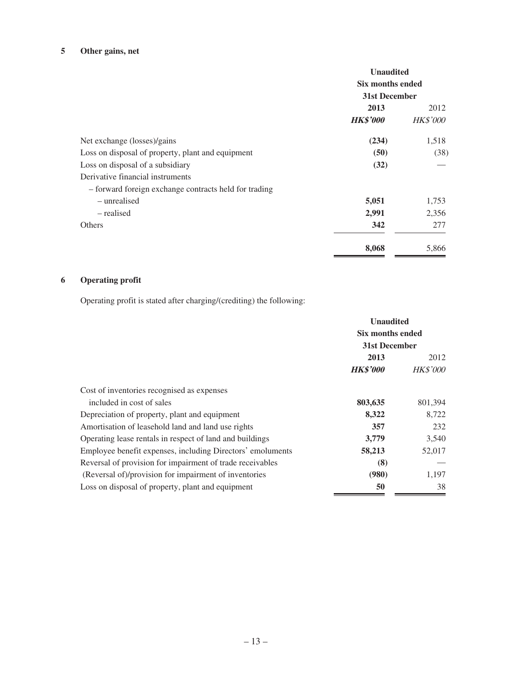# **5 Other gains, net**

|                                                       | <b>Unaudited</b><br>Six months ended<br>31st December |                 |
|-------------------------------------------------------|-------------------------------------------------------|-----------------|
|                                                       | 2013                                                  | 2012            |
|                                                       | <b>HK\$'000</b>                                       | <b>HK\$'000</b> |
| Net exchange (losses)/gains                           | (234)                                                 | 1,518           |
| Loss on disposal of property, plant and equipment     | (50)                                                  | (38)            |
| Loss on disposal of a subsidiary                      | (32)                                                  |                 |
| Derivative financial instruments                      |                                                       |                 |
| - forward foreign exchange contracts held for trading |                                                       |                 |
| – unrealised                                          | 5,051                                                 | 1,753           |
| – realised                                            | 2,991                                                 | 2,356           |
| Others                                                | 342                                                   | 277             |
|                                                       | 8,068                                                 | 5,866           |

# **6 Operating profit**

Operating profit is stated after charging/(crediting) the following:

|                                                            | <b>Unaudited</b><br>Six months ended<br>31st December |                 |
|------------------------------------------------------------|-------------------------------------------------------|-----------------|
|                                                            |                                                       |                 |
|                                                            |                                                       |                 |
|                                                            | 2013                                                  | 2012            |
|                                                            | <b>HK\$'000</b>                                       | <b>HK\$'000</b> |
| Cost of inventories recognised as expenses                 |                                                       |                 |
| included in cost of sales                                  | 803,635                                               | 801,394         |
| Depreciation of property, plant and equipment              | 8,322                                                 | 8,722           |
| Amortisation of leasehold land and land use rights         | 357                                                   | 232             |
| Operating lease rentals in respect of land and buildings   | 3,779                                                 | 3,540           |
| Employee benefit expenses, including Directors' emoluments | 58,213                                                | 52,017          |
| Reversal of provision for impairment of trade receivables  | (8)                                                   |                 |
| (Reversal of)/provision for impairment of inventories      | (980)                                                 | 1,197           |
| Loss on disposal of property, plant and equipment          | 50                                                    | 38              |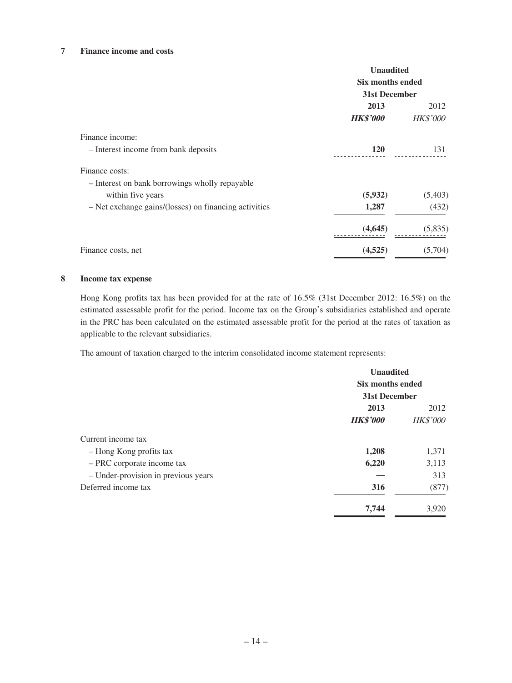#### **7 Finance income and costs**

|                                                       | <b>Unaudited</b><br>Six months ended<br>31st December |                 |
|-------------------------------------------------------|-------------------------------------------------------|-----------------|
|                                                       | 2013<br>2012                                          |                 |
|                                                       | <b>HK\$'000</b>                                       | <b>HK\$'000</b> |
| Finance income:                                       |                                                       |                 |
| - Interest income from bank deposits                  | <b>120</b>                                            | 131             |
| Finance costs:                                        |                                                       |                 |
| - Interest on bank borrowings wholly repayable        |                                                       |                 |
| within five years                                     | (5,932)                                               | (5,403)         |
| - Net exchange gains/(losses) on financing activities | 1,287                                                 | (432)           |
|                                                       | (4,645)                                               | (5,835)         |
| Finance costs, net                                    | (4,525)                                               | (5,704)         |

#### **8 Income tax expense**

Hong Kong profits tax has been provided for at the rate of 16.5% (31st December 2012: 16.5%) on the estimated assessable profit for the period. Income tax on the Group's subsidiaries established and operate in the PRC has been calculated on the estimated assessable profit for the period at the rates of taxation as applicable to the relevant subsidiaries.

The amount of taxation charged to the interim consolidated income statement represents:

|                                     | <b>Unaudited</b><br><b>Six months ended</b><br>31st December |                 |
|-------------------------------------|--------------------------------------------------------------|-----------------|
|                                     |                                                              |                 |
|                                     |                                                              |                 |
|                                     | 2013                                                         | 2012            |
|                                     | <b>HK\$'000</b>                                              | <b>HK\$'000</b> |
| Current income tax                  |                                                              |                 |
| - Hong Kong profits tax             | 1,208                                                        | 1,371           |
| - PRC corporate income tax          | 6,220                                                        | 3,113           |
| - Under-provision in previous years |                                                              | 313             |
| Deferred income tax                 | 316                                                          | (877)           |
|                                     | 7,744                                                        | 3,920           |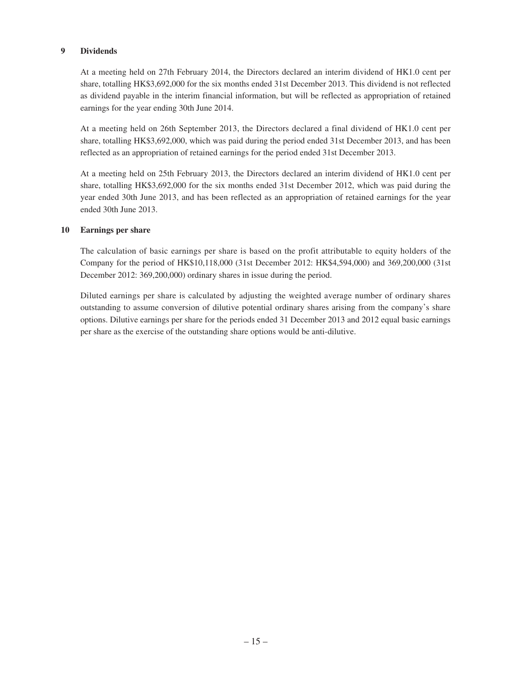### **9 Dividends**

At a meeting held on 27th February 2014, the Directors declared an interim dividend of HK1.0 cent per share, totalling HK\$3,692,000 for the six months ended 31st December 2013. This dividend is not reflected as dividend payable in the interim financial information, but will be reflected as appropriation of retained earnings for the year ending 30th June 2014.

At a meeting held on 26th September 2013, the Directors declared a final dividend of HK1.0 cent per share, totalling HK\$3,692,000, which was paid during the period ended 31st December 2013, and has been reflected as an appropriation of retained earnings for the period ended 31st December 2013.

At a meeting held on 25th February 2013, the Directors declared an interim dividend of HK1.0 cent per share, totalling HK\$3,692,000 for the six months ended 31st December 2012, which was paid during the year ended 30th June 2013, and has been reflected as an appropriation of retained earnings for the year ended 30th June 2013.

### **10 Earnings per share**

The calculation of basic earnings per share is based on the profit attributable to equity holders of the Company for the period of HK\$10,118,000 (31st December 2012: HK\$4,594,000) and 369,200,000 (31st December 2012: 369,200,000) ordinary shares in issue during the period.

Diluted earnings per share is calculated by adjusting the weighted average number of ordinary shares outstanding to assume conversion of dilutive potential ordinary shares arising from the company's share options. Dilutive earnings per share for the periods ended 31 December 2013 and 2012 equal basic earnings per share as the exercise of the outstanding share options would be anti-dilutive.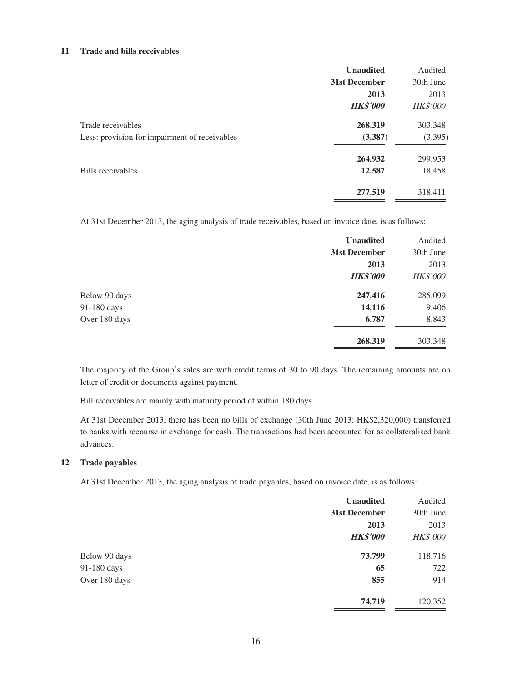#### **11 Trade and bills receivables**

|                                               | <b>Unaudited</b> | Audited         |
|-----------------------------------------------|------------------|-----------------|
|                                               | 31st December    | 30th June       |
|                                               | 2013             | 2013            |
|                                               | <b>HK\$'000</b>  | <b>HK\$'000</b> |
| Trade receivables                             | 268,319          | 303,348         |
| Less: provision for impairment of receivables | (3,387)          | (3, 395)        |
|                                               | 264,932          | 299,953         |
| Bills receivables                             | 12,587           | 18,458          |
|                                               | 277,519          | 318,411         |

At 31st December 2013, the aging analysis of trade receivables, based on invoice date, is as follows:

|               | <b>Unaudited</b> | Audited         |
|---------------|------------------|-----------------|
|               | 31st December    | 30th June       |
|               | 2013             | 2013            |
|               | <b>HK\$'000</b>  | <b>HK\$'000</b> |
| Below 90 days | 247,416          | 285,099         |
| 91-180 days   | 14,116           | 9,406           |
| Over 180 days | 6,787            | 8,843           |
|               | 268,319          | 303,348         |

The majority of the Group's sales are with credit terms of 30 to 90 days. The remaining amounts are on letter of credit or documents against payment.

Bill receivables are mainly with maturity period of within 180 days.

At 31st December 2013, there has been no bills of exchange (30th June 2013: HK\$2,320,000) transferred to banks with recourse in exchange for cash. The transactions had been accounted for as collateralised bank advances.

### **12 Trade payables**

At 31st December 2013, the aging analysis of trade payables, based on invoice date, is as follows:

|               | <b>Unaudited</b> | Audited         |
|---------------|------------------|-----------------|
|               | 31st December    | 30th June       |
|               | 2013             | 2013            |
|               | <b>HK\$'000</b>  | <b>HK\$'000</b> |
| Below 90 days | 73,799           | 118,716         |
| 91-180 days   | 65               | 722             |
| Over 180 days | 855              | 914             |
|               | 74,719           | 120,352         |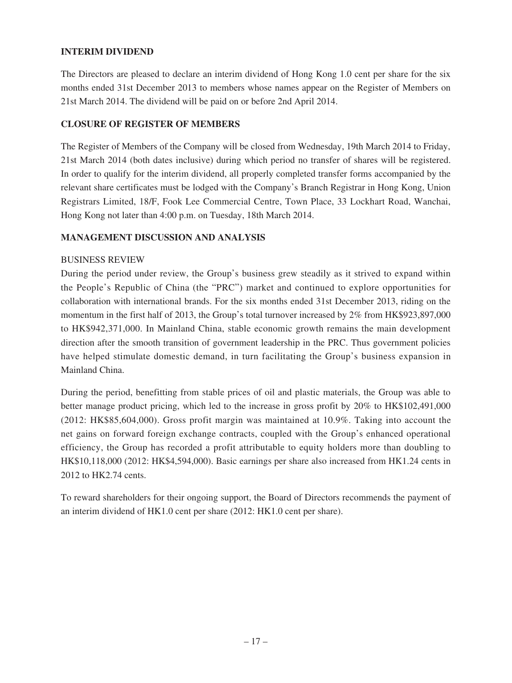# **INTERIM DIVIDEND**

The Directors are pleased to declare an interim dividend of Hong Kong 1.0 cent per share for the six months ended 31st December 2013 to members whose names appear on the Register of Members on 21st March 2014. The dividend will be paid on or before 2nd April 2014.

# **CLOSURE OF REGISTER OF MEMBERS**

The Register of Members of the Company will be closed from Wednesday, 19th March 2014 to Friday, 21st March 2014 (both dates inclusive) during which period no transfer of shares will be registered. In order to qualify for the interim dividend, all properly completed transfer forms accompanied by the relevant share certificates must be lodged with the Company's Branch Registrar in Hong Kong, Union Registrars Limited, 18/F, Fook Lee Commercial Centre, Town Place, 33 Lockhart Road, Wanchai, Hong Kong not later than 4:00 p.m. on Tuesday, 18th March 2014.

# **MANAGEMENT DISCUSSION AND ANALYSIS**

## BUSINESS REVIEW

During the period under review, the Group's business grew steadily as it strived to expand within the People's Republic of China (the "PRC") market and continued to explore opportunities for collaboration with international brands. For the six months ended 31st December 2013, riding on the momentum in the first half of 2013, the Group's total turnover increased by 2% from HK\$923,897,000 to HK\$942,371,000. In Mainland China, stable economic growth remains the main development direction after the smooth transition of government leadership in the PRC. Thus government policies have helped stimulate domestic demand, in turn facilitating the Group's business expansion in Mainland China.

During the period, benefitting from stable prices of oil and plastic materials, the Group was able to better manage product pricing, which led to the increase in gross profit by 20% to HK\$102,491,000 (2012: HK\$85,604,000). Gross profit margin was maintained at 10.9%. Taking into account the net gains on forward foreign exchange contracts, coupled with the Group's enhanced operational efficiency, the Group has recorded a profit attributable to equity holders more than doubling to HK\$10,118,000 (2012: HK\$4,594,000). Basic earnings per share also increased from HK1.24 cents in 2012 to HK2.74 cents.

To reward shareholders for their ongoing support, the Board of Directors recommends the payment of an interim dividend of HK1.0 cent per share (2012: HK1.0 cent per share).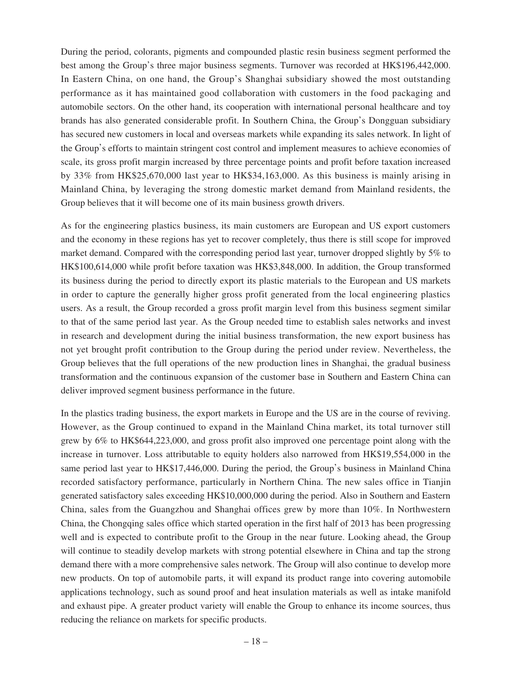During the period, colorants, pigments and compounded plastic resin business segment performed the best among the Group's three major business segments. Turnover was recorded at HK\$196,442,000. In Eastern China, on one hand, the Group's Shanghai subsidiary showed the most outstanding performance as it has maintained good collaboration with customers in the food packaging and automobile sectors. On the other hand, its cooperation with international personal healthcare and toy brands has also generated considerable profit. In Southern China, the Group's Dongguan subsidiary has secured new customers in local and overseas markets while expanding its sales network. In light of the Group's efforts to maintain stringent cost control and implement measures to achieve economies of scale, its gross profit margin increased by three percentage points and profit before taxation increased by 33% from HK\$25,670,000 last year to HK\$34,163,000. As this business is mainly arising in Mainland China, by leveraging the strong domestic market demand from Mainland residents, the Group believes that it will become one of its main business growth drivers.

As for the engineering plastics business, its main customers are European and US export customers and the economy in these regions has yet to recover completely, thus there is still scope for improved market demand. Compared with the corresponding period last year, turnover dropped slightly by 5% to HK\$100,614,000 while profit before taxation was HK\$3,848,000. In addition, the Group transformed its business during the period to directly export its plastic materials to the European and US markets in order to capture the generally higher gross profit generated from the local engineering plastics users. As a result, the Group recorded a gross profit margin level from this business segment similar to that of the same period last year. As the Group needed time to establish sales networks and invest in research and development during the initial business transformation, the new export business has not yet brought profit contribution to the Group during the period under review. Nevertheless, the Group believes that the full operations of the new production lines in Shanghai, the gradual business transformation and the continuous expansion of the customer base in Southern and Eastern China can deliver improved segment business performance in the future.

In the plastics trading business, the export markets in Europe and the US are in the course of reviving. However, as the Group continued to expand in the Mainland China market, its total turnover still grew by 6% to HK\$644,223,000, and gross profit also improved one percentage point along with the increase in turnover. Loss attributable to equity holders also narrowed from HK\$19,554,000 in the same period last year to HK\$17,446,000. During the period, the Group's business in Mainland China recorded satisfactory performance, particularly in Northern China. The new sales office in Tianjin generated satisfactory sales exceeding HK\$10,000,000 during the period. Also in Southern and Eastern China, sales from the Guangzhou and Shanghai offices grew by more than 10%. In Northwestern China, the Chongqing sales office which started operation in the first half of 2013 has been progressing well and is expected to contribute profit to the Group in the near future. Looking ahead, the Group will continue to steadily develop markets with strong potential elsewhere in China and tap the strong demand there with a more comprehensive sales network. The Group will also continue to develop more new products. On top of automobile parts, it will expand its product range into covering automobile applications technology, such as sound proof and heat insulation materials as well as intake manifold and exhaust pipe. A greater product variety will enable the Group to enhance its income sources, thus reducing the reliance on markets for specific products.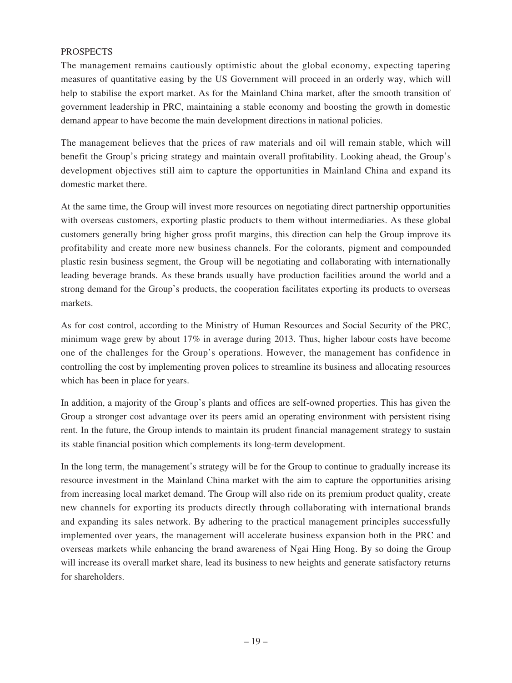## **PROSPECTS**

The management remains cautiously optimistic about the global economy, expecting tapering measures of quantitative easing by the US Government will proceed in an orderly way, which will help to stabilise the export market. As for the Mainland China market, after the smooth transition of government leadership in PRC, maintaining a stable economy and boosting the growth in domestic demand appear to have become the main development directions in national policies.

The management believes that the prices of raw materials and oil will remain stable, which will benefit the Group's pricing strategy and maintain overall profitability. Looking ahead, the Group's development objectives still aim to capture the opportunities in Mainland China and expand its domestic market there.

At the same time, the Group will invest more resources on negotiating direct partnership opportunities with overseas customers, exporting plastic products to them without intermediaries. As these global customers generally bring higher gross profit margins, this direction can help the Group improve its profitability and create more new business channels. For the colorants, pigment and compounded plastic resin business segment, the Group will be negotiating and collaborating with internationally leading beverage brands. As these brands usually have production facilities around the world and a strong demand for the Group's products, the cooperation facilitates exporting its products to overseas markets.

As for cost control, according to the Ministry of Human Resources and Social Security of the PRC, minimum wage grew by about 17% in average during 2013. Thus, higher labour costs have become one of the challenges for the Group's operations. However, the management has confidence in controlling the cost by implementing proven polices to streamline its business and allocating resources which has been in place for years.

In addition, a majority of the Group's plants and offices are self-owned properties. This has given the Group a stronger cost advantage over its peers amid an operating environment with persistent rising rent. In the future, the Group intends to maintain its prudent financial management strategy to sustain its stable financial position which complements its long-term development.

In the long term, the management's strategy will be for the Group to continue to gradually increase its resource investment in the Mainland China market with the aim to capture the opportunities arising from increasing local market demand. The Group will also ride on its premium product quality, create new channels for exporting its products directly through collaborating with international brands and expanding its sales network. By adhering to the practical management principles successfully implemented over years, the management will accelerate business expansion both in the PRC and overseas markets while enhancing the brand awareness of Ngai Hing Hong. By so doing the Group will increase its overall market share, lead its business to new heights and generate satisfactory returns for shareholders.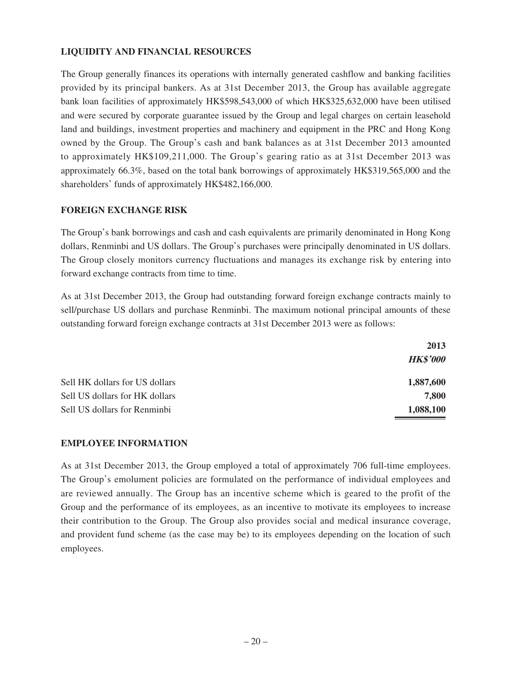# **LIQUIDITY AND FINANCIAL RESOURCES**

The Group generally finances its operations with internally generated cashflow and banking facilities provided by its principal bankers. As at 31st December 2013, the Group has available aggregate bank loan facilities of approximately HK\$598,543,000 of which HK\$325,632,000 have been utilised and were secured by corporate guarantee issued by the Group and legal charges on certain leasehold land and buildings, investment properties and machinery and equipment in the PRC and Hong Kong owned by the Group. The Group's cash and bank balances as at 31st December 2013 amounted to approximately HK\$109,211,000. The Group's gearing ratio as at 31st December 2013 was approximately 66.3%, based on the total bank borrowings of approximately HK\$319,565,000 and the shareholders' funds of approximately HK\$482,166,000.

## **FOREIGN EXCHANGE RISK**

The Group's bank borrowings and cash and cash equivalents are primarily denominated in Hong Kong dollars, Renminbi and US dollars. The Group's purchases were principally denominated in US dollars. The Group closely monitors currency fluctuations and manages its exchange risk by entering into forward exchange contracts from time to time.

As at 31st December 2013, the Group had outstanding forward foreign exchange contracts mainly to sell/purchase US dollars and purchase Renminbi. The maximum notional principal amounts of these outstanding forward foreign exchange contracts at 31st December 2013 were as follows:

|                                | 2013            |
|--------------------------------|-----------------|
|                                | <b>HK\$'000</b> |
| Sell HK dollars for US dollars | 1,887,600       |
| Sell US dollars for HK dollars | 7,800           |
| Sell US dollars for Renminbi   | 1,088,100       |

## **EMPLOYEE INFORMATION**

As at 31st December 2013, the Group employed a total of approximately 706 full-time employees. The Group's emolument policies are formulated on the performance of individual employees and are reviewed annually. The Group has an incentive scheme which is geared to the profit of the Group and the performance of its employees, as an incentive to motivate its employees to increase their contribution to the Group. The Group also provides social and medical insurance coverage, and provident fund scheme (as the case may be) to its employees depending on the location of such employees.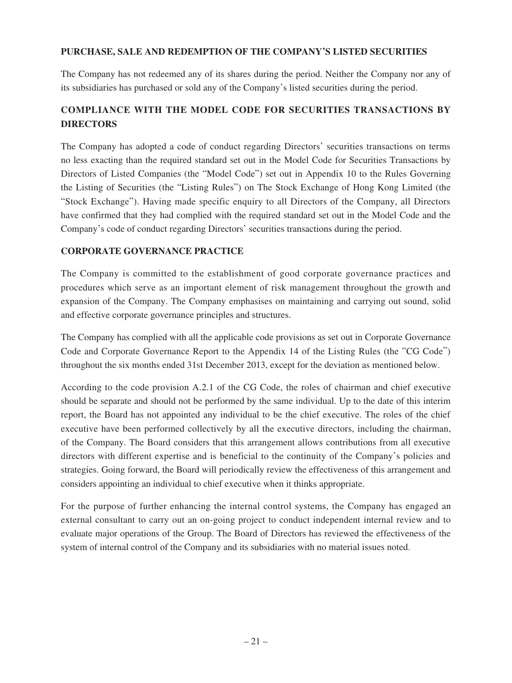## **PURCHASE, SALE AND REDEMPTION OF THE COMPANY'S LISTED SECURITIES**

The Company has not redeemed any of its shares during the period. Neither the Company nor any of its subsidiaries has purchased or sold any of the Company's listed securities during the period.

# **COMPLIANCE WITH THE MODEL CODE FOR SECURITIES TRANSACTIONS BY DIRECTORS**

The Company has adopted a code of conduct regarding Directors' securities transactions on terms no less exacting than the required standard set out in the Model Code for Securities Transactions by Directors of Listed Companies (the "Model Code") set out in Appendix 10 to the Rules Governing the Listing of Securities (the "Listing Rules") on The Stock Exchange of Hong Kong Limited (the "Stock Exchange"). Having made specific enquiry to all Directors of the Company, all Directors have confirmed that they had complied with the required standard set out in the Model Code and the Company's code of conduct regarding Directors' securities transactions during the period.

# **CORPORATE GOVERNANCE PRACTICE**

The Company is committed to the establishment of good corporate governance practices and procedures which serve as an important element of risk management throughout the growth and expansion of the Company. The Company emphasises on maintaining and carrying out sound, solid and effective corporate governance principles and structures.

The Company has complied with all the applicable code provisions as set out in Corporate Governance Code and Corporate Governance Report to the Appendix 14 of the Listing Rules (the "CG Code") throughout the six months ended 31st December 2013, except for the deviation as mentioned below.

According to the code provision A.2.1 of the CG Code, the roles of chairman and chief executive should be separate and should not be performed by the same individual. Up to the date of this interim report, the Board has not appointed any individual to be the chief executive. The roles of the chief executive have been performed collectively by all the executive directors, including the chairman, of the Company. The Board considers that this arrangement allows contributions from all executive directors with different expertise and is beneficial to the continuity of the Company's policies and strategies. Going forward, the Board will periodically review the effectiveness of this arrangement and considers appointing an individual to chief executive when it thinks appropriate.

For the purpose of further enhancing the internal control systems, the Company has engaged an external consultant to carry out an on-going project to conduct independent internal review and to evaluate major operations of the Group. The Board of Directors has reviewed the effectiveness of the system of internal control of the Company and its subsidiaries with no material issues noted.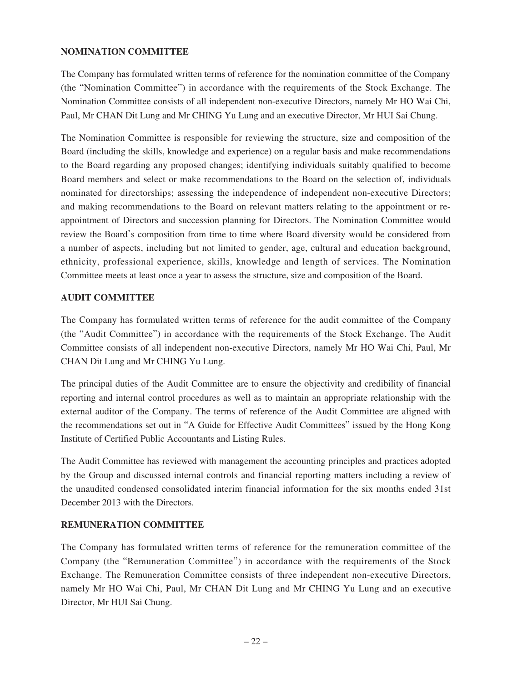## **NOMINATION COMMITTEE**

The Company has formulated written terms of reference for the nomination committee of the Company (the "Nomination Committee") in accordance with the requirements of the Stock Exchange. The Nomination Committee consists of all independent non-executive Directors, namely Mr HO Wai Chi, Paul, Mr CHAN Dit Lung and Mr CHING Yu Lung and an executive Director, Mr HUI Sai Chung.

The Nomination Committee is responsible for reviewing the structure, size and composition of the Board (including the skills, knowledge and experience) on a regular basis and make recommendations to the Board regarding any proposed changes; identifying individuals suitably qualified to become Board members and select or make recommendations to the Board on the selection of, individuals nominated for directorships; assessing the independence of independent non-executive Directors; and making recommendations to the Board on relevant matters relating to the appointment or reappointment of Directors and succession planning for Directors. The Nomination Committee would review the Board's composition from time to time where Board diversity would be considered from a number of aspects, including but not limited to gender, age, cultural and education background, ethnicity, professional experience, skills, knowledge and length of services. The Nomination Committee meets at least once a year to assess the structure, size and composition of the Board.

# **AUDIT COMMITTEE**

The Company has formulated written terms of reference for the audit committee of the Company (the "Audit Committee") in accordance with the requirements of the Stock Exchange. The Audit Committee consists of all independent non-executive Directors, namely Mr HO Wai Chi, Paul, Mr CHAN Dit Lung and Mr CHING Yu Lung.

The principal duties of the Audit Committee are to ensure the objectivity and credibility of financial reporting and internal control procedures as well as to maintain an appropriate relationship with the external auditor of the Company. The terms of reference of the Audit Committee are aligned with the recommendations set out in "A Guide for Effective Audit Committees" issued by the Hong Kong Institute of Certified Public Accountants and Listing Rules.

The Audit Committee has reviewed with management the accounting principles and practices adopted by the Group and discussed internal controls and financial reporting matters including a review of the unaudited condensed consolidated interim financial information for the six months ended 31st December 2013 with the Directors.

# **REMUNERATION COMMITTEE**

The Company has formulated written terms of reference for the remuneration committee of the Company (the "Remuneration Committee") in accordance with the requirements of the Stock Exchange. The Remuneration Committee consists of three independent non-executive Directors, namely Mr HO Wai Chi, Paul, Mr CHAN Dit Lung and Mr CHING Yu Lung and an executive Director, Mr HUI Sai Chung.